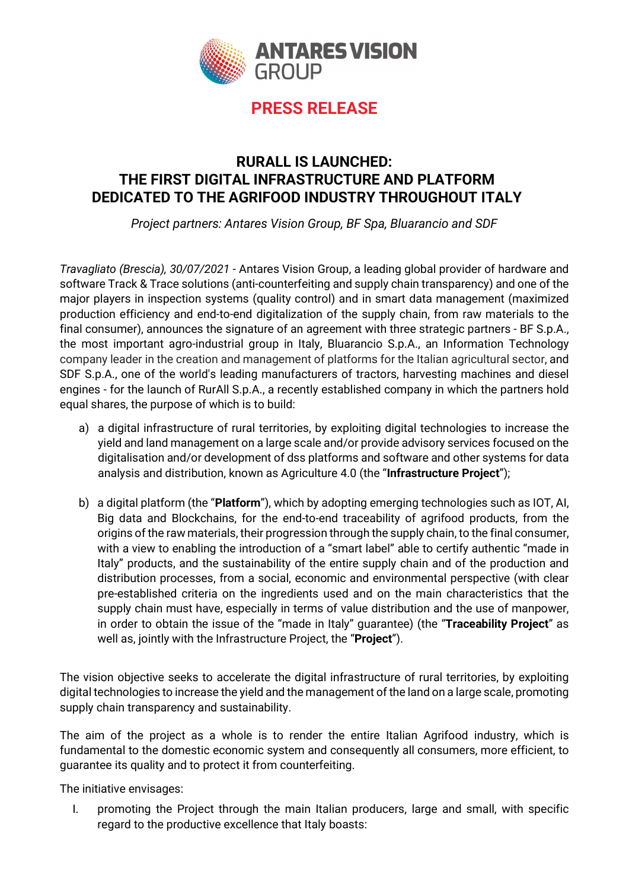

### RURALL IS LAUNCHED: THE FIRST DIGITAL INFRASTRUCTURE AND PLATFORM DEDICATED TO THE AGRIFOOD INDUSTRY THROUGHOUT ITALY

Project partners: Antares Vision Group, BF Spa, Bluarancio and SDF

Travagliato (Brescia), 30/07/2021 - Antares Vision Group, a leading global provider of hardware and software Track & Trace solutions (anti-counterfeiting and supply chain transparency) and one of the major players in inspection systems (quality control) and in smart data management (maximized production efficiency and end-to-end digitalization of the supply chain, from raw materials to the final consumer), announces the signature of an agreement with three strategic partners - BF S.p.A., the most important agro-industrial group in Italy, Bluarancio S.p.A., an Information Technology company leader in the creation and management of platforms for the Italian agricultural sector, and SDF S.p.A., one of the world's leading manufacturers of tractors, harvesting machines and diesel engines - for the launch of RurAll S.p.A., a recently established company in which the partners hold equal shares, the purpose of which is to build:

- a) a digital infrastructure of rural territories, by exploiting digital technologies to increase the yield and land management on a large scale and/or provide advisory services focused on the digitalisation and/or development of dss platforms and software and other systems for data analysis and distribution, known as Agriculture 4.0 (the "Infrastructure Project");
- b) a digital platform (the "**Platform**"), which by adopting emerging technologies such as IOT, AI, Big data and Blockchains, for the end-to-end traceability of agrifood products, from the origins of the raw materials, their progression through the supply chain, to the final consumer, with a view to enabling the introduction of a "smart label" able to certify authentic "made in Italy" products, and the sustainability of the entire supply chain and of the production and distribution processes, from a social, economic and environmental perspective (with clear pre-established criteria on the ingredients used and on the main characteristics that the supply chain must have, especially in terms of value distribution and the use of manpower, in order to obtain the issue of the "made in Italy" guarantee) (the "Traceability Project" as well as, jointly with the Infrastructure Project, the "Project").

The vision objective seeks to accelerate the digital infrastructure of rural territories, by exploiting digital technologies to increase the yield and the management of the land on a large scale, promoting supply chain transparency and sustainability.

The aim of the project as a whole is to render the entire Italian Agrifood industry, which is fundamental to the domestic economic system and consequently all consumers, more efficient, to guarantee its quality and to protect it from counterfeiting.

The initiative envisages:

I. promoting the Project through the main Italian producers, large and small, with specific regard to the productive excellence that Italy boasts: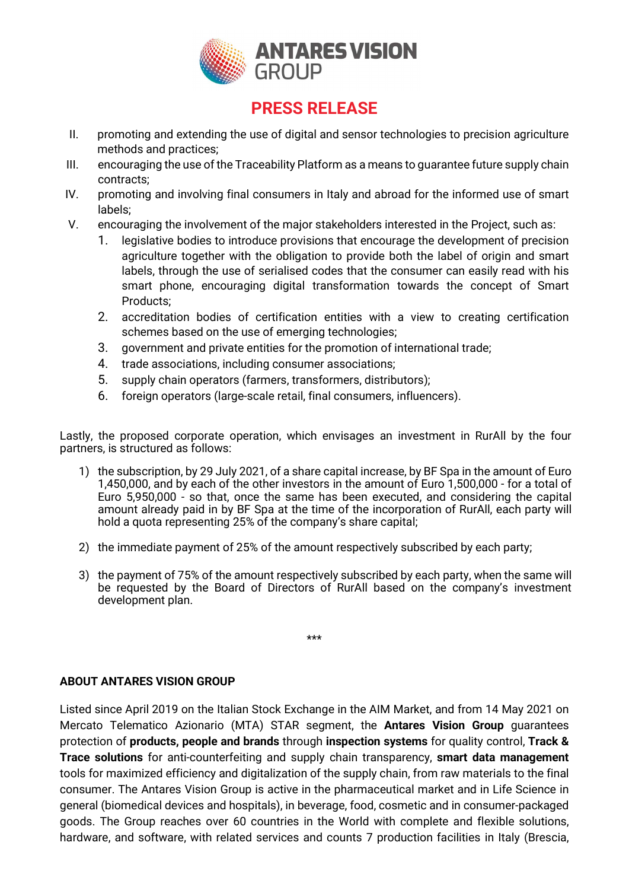

- II. promoting and extending the use of digital and sensor technologies to precision agriculture methods and practices;
- III. encouraging the use of the Traceability Platform as a means to guarantee future supply chain contracts;
- IV. promoting and involving final consumers in Italy and abroad for the informed use of smart labels;
- V. encouraging the involvement of the major stakeholders interested in the Project, such as:
	- 1. legislative bodies to introduce provisions that encourage the development of precision agriculture together with the obligation to provide both the label of origin and smart labels, through the use of serialised codes that the consumer can easily read with his smart phone, encouraging digital transformation towards the concept of Smart Products;
	- 2. accreditation bodies of certification entities with a view to creating certification schemes based on the use of emerging technologies;
	- 3. government and private entities for the promotion of international trade;
	- 4. trade associations, including consumer associations;
	- 5. supply chain operators (farmers, transformers, distributors);
	- 6. foreign operators (large-scale retail, final consumers, influencers).

Lastly, the proposed corporate operation, which envisages an investment in RurAll by the four partners, is structured as follows:

- 1) the subscription, by 29 July 2021, of a share capital increase, by BF Spa in the amount of Euro 1,450,000, and by each of the other investors in the amount of Euro 1,500,000 - for a total of Euro 5,950,000 - so that, once the same has been executed, and considering the capital amount already paid in by BF Spa at the time of the incorporation of RurAll, each party will hold a quota representing 25% of the company's share capital;
- 2) the immediate payment of 25% of the amount respectively subscribed by each party;
- 3) the payment of 75% of the amount respectively subscribed by each party, when the same will be requested by the Board of Directors of RurAll based on the company's investment development plan.

\*\*\*

### ABOUT ANTARES VISION GROUP

Listed since April 2019 on the Italian Stock Exchange in the AIM Market, and from 14 May 2021 on Mercato Telematico Azionario (MTA) STAR segment, the Antares Vision Group guarantees protection of products, people and brands through inspection systems for quality control, Track & Trace solutions for anti-counterfeiting and supply chain transparency, smart data management tools for maximized efficiency and digitalization of the supply chain, from raw materials to the final consumer. The Antares Vision Group is active in the pharmaceutical market and in Life Science in general (biomedical devices and hospitals), in beverage, food, cosmetic and in consumer-packaged goods. The Group reaches over 60 countries in the World with complete and flexible solutions, hardware, and software, with related services and counts 7 production facilities in Italy (Brescia,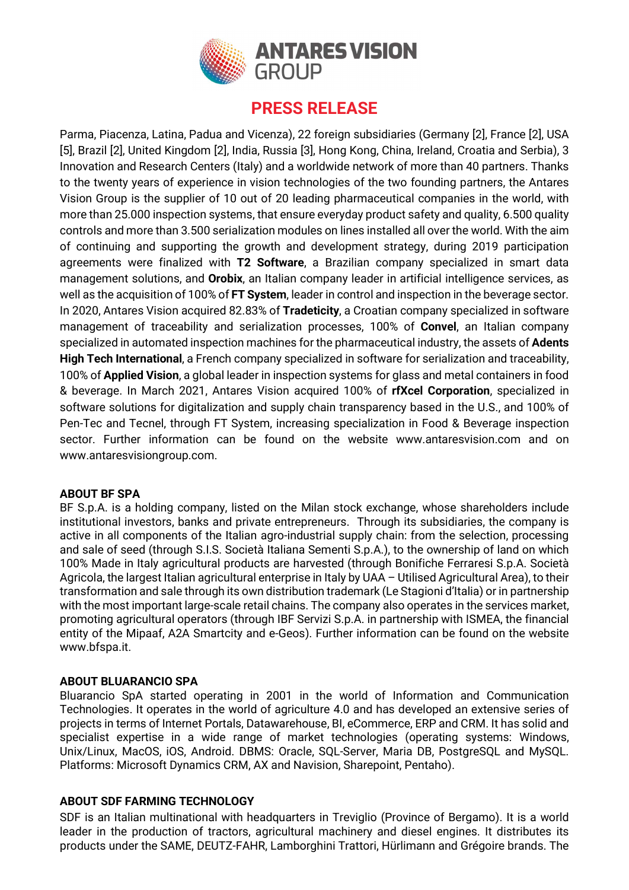

Parma, Piacenza, Latina, Padua and Vicenza), 22 foreign subsidiaries (Germany [2], France [2], USA [5], Brazil [2], United Kingdom [2], India, Russia [3], Hong Kong, China, Ireland, Croatia and Serbia), 3 Innovation and Research Centers (Italy) and a worldwide network of more than 40 partners. Thanks to the twenty years of experience in vision technologies of the two founding partners, the Antares Vision Group is the supplier of 10 out of 20 leading pharmaceutical companies in the world, with more than 25.000 inspection systems, that ensure everyday product safety and quality, 6.500 quality controls and more than 3.500 serialization modules on lines installed all over the world. With the aim of continuing and supporting the growth and development strategy, during 2019 participation agreements were finalized with T2 Software, a Brazilian company specialized in smart data management solutions, and **Orobix**, an Italian company leader in artificial intelligence services, as well as the acquisition of 100% of FT System, leader in control and inspection in the beverage sector. In 2020, Antares Vision acquired 82.83% of Tradeticity, a Croatian company specialized in software management of traceability and serialization processes, 100% of Convel, an Italian company specialized in automated inspection machines for the pharmaceutical industry, the assets of Adents High Tech International, a French company specialized in software for serialization and traceability, 100% of Applied Vision, a global leader in inspection systems for glass and metal containers in food & beverage. In March 2021, Antares Vision acquired 100% of rfXcel Corporation, specialized in software solutions for digitalization and supply chain transparency based in the U.S., and 100% of Pen-Tec and Tecnel, through FT System, increasing specialization in Food & Beverage inspection sector. Further information can be found on the website www.antaresvision.com and on www.antaresvisiongroup.com.

#### ABOUT BF SPA

BF S.p.A. is a holding company, listed on the Milan stock exchange, whose shareholders include institutional investors, banks and private entrepreneurs. Through its subsidiaries, the company is active in all components of the Italian agro-industrial supply chain: from the selection, processing and sale of seed (through S.I.S. Società Italiana Sementi S.p.A.), to the ownership of land on which 100% Made in Italy agricultural products are harvested (through Bonifiche Ferraresi S.p.A. Società Agricola, the largest Italian agricultural enterprise in Italy by UAA – Utilised Agricultural Area), to their transformation and sale through its own distribution trademark (Le Stagioni d'Italia) or in partnership with the most important large-scale retail chains. The company also operates in the services market, promoting agricultural operators (through IBF Servizi S.p.A. in partnership with ISMEA, the financial entity of the Mipaaf, A2A Smartcity and e-Geos). Further information can be found on the website www.bfspa.it.

#### ABOUT BLUARANCIO SPA

Bluarancio SpA started operating in 2001 in the world of Information and Communication Technologies. It operates in the world of agriculture 4.0 and has developed an extensive series of projects in terms of Internet Portals, Datawarehouse, BI, eCommerce, ERP and CRM. It has solid and specialist expertise in a wide range of market technologies (operating systems: Windows, Unix/Linux, MacOS, iOS, Android. DBMS: Oracle, SQL-Server, Maria DB, PostgreSQL and MySQL. Platforms: Microsoft Dynamics CRM, AX and Navision, Sharepoint, Pentaho).

#### ABOUT SDF FARMING TECHNOLOGY

SDF is an Italian multinational with headquarters in Treviglio (Province of Bergamo). It is a world leader in the production of tractors, agricultural machinery and diesel engines. It distributes its products under the SAME, DEUTZ-FAHR, Lamborghini Trattori, Hürlimann and Grégoire brands. The